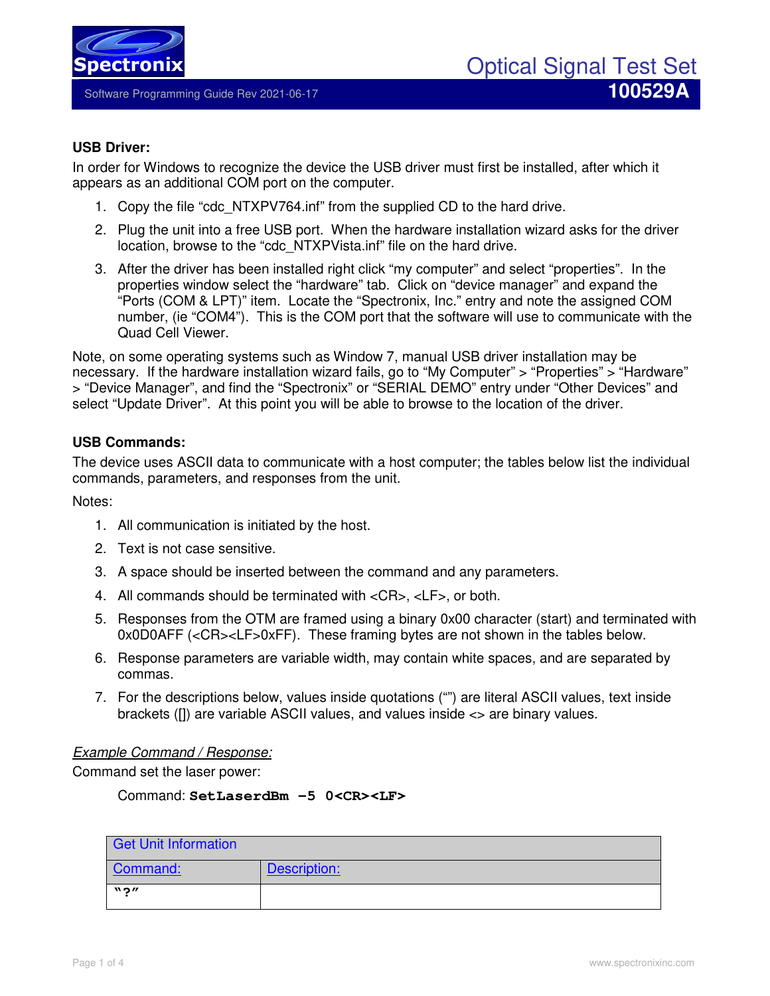

## **USB Driver:**

In order for Windows to recognize the device the USB driver must first be installed, after which it appears as an additional COM port on the computer.

- 1. Copy the file "cdc\_NTXPV764.inf" from the supplied CD to the hard drive.
- 2. Plug the unit into a free USB port. When the hardware installation wizard asks for the driver location, browse to the "cdc\_NTXPVista.inf" file on the hard drive.
- 3. After the driver has been installed right click "my computer" and select "properties". In the properties window select the "hardware" tab. Click on "device manager" and expand the "Ports (COM & LPT)" item. Locate the "Spectronix, Inc." entry and note the assigned COM number, (ie "COM4"). This is the COM port that the software will use to communicate with the Quad Cell Viewer.

Note, on some operating systems such as Window 7, manual USB driver installation may be necessary. If the hardware installation wizard fails, go to "My Computer" > "Properties" > "Hardware" > "Device Manager", and find the "Spectronix" or "SERIAL DEMO" entry under "Other Devices" and select "Update Driver". At this point you will be able to browse to the location of the driver.

## **USB Commands:**

The device uses ASCII data to communicate with a host computer; the tables below list the individual commands, parameters, and responses from the unit.

Notes:

- 1. All communication is initiated by the host.
- 2. Text is not case sensitive.
- 3. A space should be inserted between the command and any parameters.
- 4. All commands should be terminated with <CR>, <LF>, or both.
- 5. Responses from the OTM are framed using a binary 0x00 character (start) and terminated with 0x0D0AFF (<CR><LF>0xFF). These framing bytes are not shown in the tables below.
- 6. Response parameters are variable width, may contain white spaces, and are separated by commas.
- 7. For the descriptions below, values inside quotations ("") are literal ASCII values, text inside brackets ([]) are variable ASCII values, and values inside <> are binary values.

## *Example Command / Response:*

Command set the laser power:

Command: **SetLaserdBm -5 0<CR><LF>** 

| Get Unit Information        |              |
|-----------------------------|--------------|
| Command:                    | Description: |
| $\mathbf{N}$ 2 $\mathbf{V}$ |              |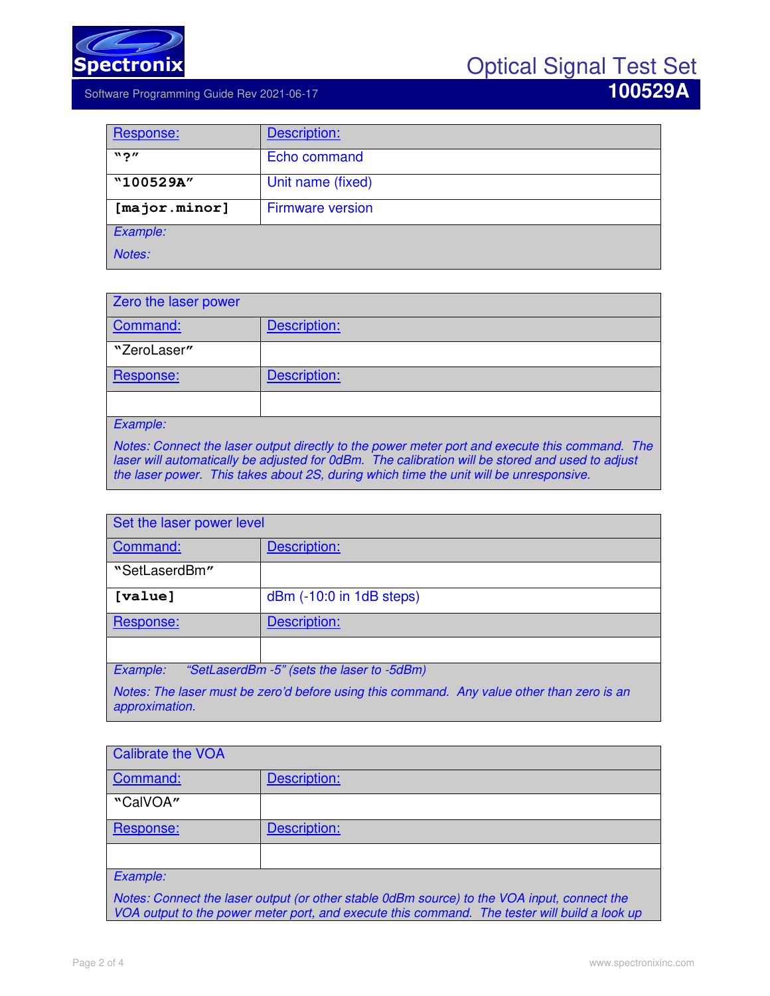

Software Programming Guide Rev 2021-06-17 **100529A** 

| Response:              | Description:            |
|------------------------|-------------------------|
| $"$ ?"                 | Echo command            |
| "100529A"              | Unit name (fixed)       |
| $[\text{major.minor}]$ | <b>Firmware version</b> |
| Example:               |                         |
| Notes:                 |                         |

| Zero the laser power |              |
|----------------------|--------------|
| Command:             | Description: |
| "ZeroLaser"          |              |
| Response:            | Description: |
|                      |              |
| Example:             |              |

*Notes: Connect the laser output directly to the power meter port and execute this command. The laser will automatically be adjusted for 0dBm. The calibration will be stored and used to adjust the laser power. This takes about 2S, during which time the unit will be unresponsive.* 

| Set the laser power level                                                                                    |                          |  |
|--------------------------------------------------------------------------------------------------------------|--------------------------|--|
| Command:                                                                                                     | Description:             |  |
| "SetLaserdBm"                                                                                                |                          |  |
| [value]                                                                                                      | dBm (-10:0 in 1dB steps) |  |
| Response:                                                                                                    | Description:             |  |
|                                                                                                              |                          |  |
| Example:<br>"SetLaserdBm -5" (sets the laser to -5dBm)                                                       |                          |  |
| Notes: The laser must be zero'd before using this command. Any value other than zero is an<br>approximation. |                          |  |

| <b>Calibrate the VOA</b>                                                                    |              |
|---------------------------------------------------------------------------------------------|--------------|
| Command:                                                                                    | Description: |
| "CalVOA"                                                                                    |              |
| Response:                                                                                   | Description: |
|                                                                                             |              |
| Example:                                                                                    |              |
| Notes: Connect the laser output (or other stable 0dBm source) to the VOA input, connect the |              |

*Notes: Connect the laser output (or other stable 0dBm source) to the VOA input, connect the VOA output to the power meter port, and execute this command. The tester will build a look up*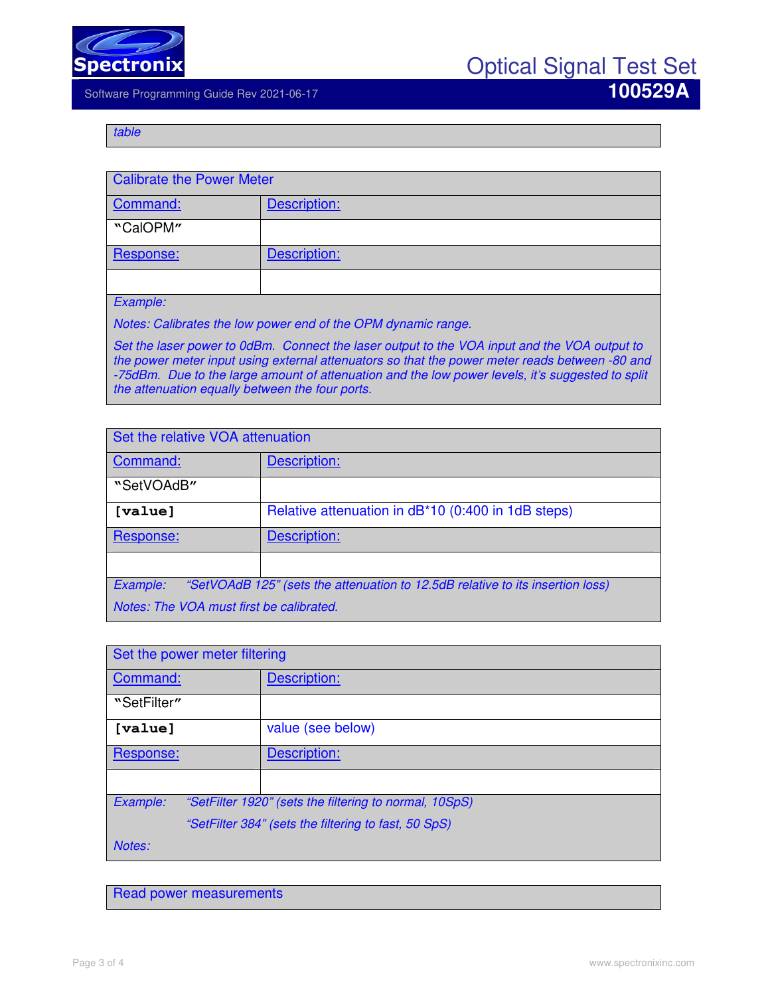

Optical Signal Test Set

Software Programming Guide Rev 2021-06-17 **100529A** 

*table* 

| <b>Calibrate the Power Meter</b> |              |
|----------------------------------|--------------|
| Command:                         | Description: |
| "CalOPM"                         |              |
| Response:                        | Description: |
|                                  |              |
| Example:                         |              |

*Notes: Calibrates the low power end of the OPM dynamic range.* 

*Set the laser power to 0dBm. Connect the laser output to the VOA input and the VOA output to the power meter input using external attenuators so that the power meter reads between -80 and -75dBm. Due to the large amount of attenuation and the low power levels, it's suggested to split the attenuation equally between the four ports.* 

| Set the relative VOA attenuation                                                           |                                                    |
|--------------------------------------------------------------------------------------------|----------------------------------------------------|
| Command:                                                                                   | Description:                                       |
| "SetVOAdB"                                                                                 |                                                    |
| [value]                                                                                    | Relative attenuation in dB*10 (0:400 in 1dB steps) |
| Response:                                                                                  | Description:                                       |
|                                                                                            |                                                    |
| Example:<br>"SetVOAdB 125" (sets the attenuation to 12.5dB relative to its insertion loss) |                                                    |
| Notes: The VOA must first be calibrated.                                                   |                                                    |

| Set the power meter filtering |                                                        |  |
|-------------------------------|--------------------------------------------------------|--|
| Command:                      | Description:                                           |  |
| "SetFilter"                   |                                                        |  |
| [value]                       | value (see below)                                      |  |
| Response:                     | Description:                                           |  |
|                               |                                                        |  |
| Example:                      | "SetFilter 1920" (sets the filtering to normal, 10SpS) |  |
|                               | "SetFilter 384" (sets the filtering to fast, 50 SpS)   |  |
| Notes:                        |                                                        |  |

Read power measurements